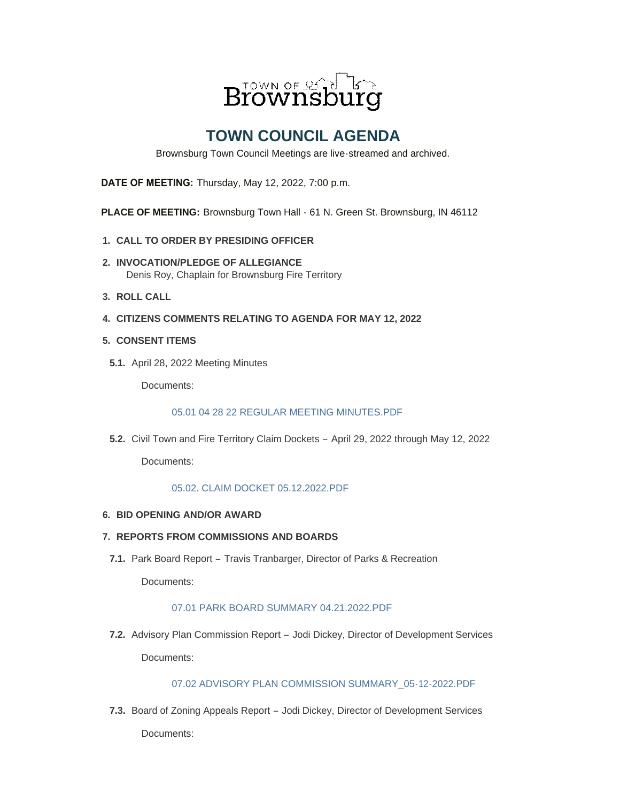

# **TOWN COUNCIL AGENDA**

Brownsburg Town Council Meetings are live-streamed and archived.

**DATE OF MEETING:** Thursday, May 12, 2022, 7:00 p.m.

**PLACE OF MEETING:** Brownsburg Town Hall - 61 N. Green St. Brownsburg, IN 46112

- **CALL TO ORDER BY PRESIDING OFFICER 1.**
- **INVOCATION/PLEDGE OF ALLEGIANCE 2.** Denis Roy, Chaplain for Brownsburg Fire Territory
- **ROLL CALL 3.**
- **CITIZENS COMMENTS RELATING TO AGENDA FOR MAY 12, 2022 4.**
- **CONSENT ITEMS 5.**
- **5.1.** April 28, 2022 Meeting Minutes

Documents:

#### [05.01 04 28 22 REGULAR MEETING MINUTES.PDF](https://www.brownsburg.org/AgendaCenter/ViewFile/Item/271?fileID=4450)

**5.2.** Civil Town and Fire Territory Claim Dockets - April 29, 2022 through May 12, 2022

Documents:

#### [05.02. CLAIM DOCKET 05.12.2022.PDF](https://www.brownsburg.org/AgendaCenter/ViewFile/Item/272?fileID=4451)

**BID OPENING AND/OR AWARD 6.**

### **REPORTS FROM COMMISSIONS AND BOARDS 7.**

7.1. Park Board Report - Travis Tranbarger, Director of Parks & Recreation

Documents:

## [07.01 PARK BOARD SUMMARY 04.21.2022.PDF](https://www.brownsburg.org/AgendaCenter/ViewFile/Item/315?fileID=4448)

Advisory Plan Commission Report – Jodi Dickey, Director of Development Services **7.2.** Documents:

### [07.02 ADVISORY PLAN COMMISSION SUMMARY\\_05-12-2022.PDF](https://www.brownsburg.org/AgendaCenter/ViewFile/Item/274?fileID=4442)

7.3. Board of Zoning Appeals Report - Jodi Dickey, Director of Development Services Documents: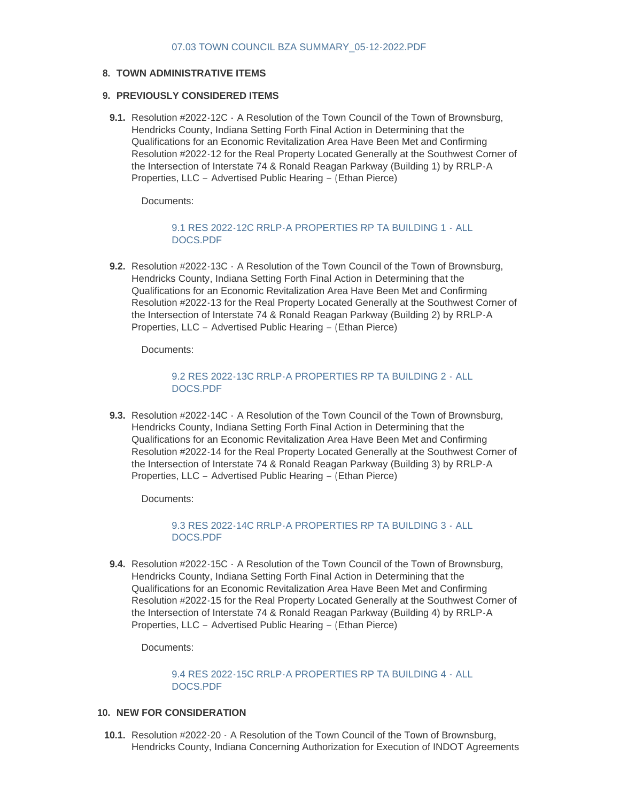## **TOWN ADMINISTRATIVE ITEMS 8.**

#### **PREVIOUSLY CONSIDERED ITEMS 9.**

**9.1.** Resolution #2022-12C - A Resolution of the Town Council of the Town of Brownsburg, Hendricks County, Indiana Setting Forth Final Action in Determining that the Qualifications for an Economic Revitalization Area Have Been Met and Confirming Resolution #2022-12 for the Real Property Located Generally at the Southwest Corner of the Intersection of Interstate 74 & Ronald Reagan Parkway (Building 1) by RRLP-A Properties, LLC – Advertised Public Hearing – (Ethan Pierce)

Documents:

## [9.1 RES 2022-12C RRLP-A PROPERTIES RP TA BUILDING 1 -](https://www.brownsburg.org/AgendaCenter/ViewFile/Item/311?fileID=4444) ALL DOCS.PDF

**9.2.** Resolution #2022-13C  $\cdot$  A Resolution of the Town Council of the Town of Brownsburg, Hendricks County, Indiana Setting Forth Final Action in Determining that the Qualifications for an Economic Revitalization Area Have Been Met and Confirming Resolution #2022-13 for the Real Property Located Generally at the Southwest Corner of the Intersection of Interstate 74 & Ronald Reagan Parkway (Building 2) by RRLP-A Properties, LLC – Advertised Public Hearing – (Ethan Pierce)

Documents:

## [9.2 RES 2022-13C RRLP-A PROPERTIES RP TA BUILDING 2 -](https://www.brownsburg.org/AgendaCenter/ViewFile/Item/312?fileID=4445) ALL DOCS.PDF

**9.3.** Resolution #2022-14C  $\cdot$  A Resolution of the Town Council of the Town of Brownsburg, Hendricks County, Indiana Setting Forth Final Action in Determining that the Qualifications for an Economic Revitalization Area Have Been Met and Confirming Resolution #2022-14 for the Real Property Located Generally at the Southwest Corner of the Intersection of Interstate 74 & Ronald Reagan Parkway (Building 3) by RRLP-A Properties, LLC – Advertised Public Hearing – (Ethan Pierce)

Documents:

## [9.3 RES 2022-14C RRLP-A PROPERTIES RP TA BUILDING 3 -](https://www.brownsburg.org/AgendaCenter/ViewFile/Item/313?fileID=4446) ALL DOCS.PDF

**9.4.** Resolution #2022-15C  $\cdot$  A Resolution of the Town Council of the Town of Brownsburg, Hendricks County, Indiana Setting Forth Final Action in Determining that the Qualifications for an Economic Revitalization Area Have Been Met and Confirming Resolution #2022-15 for the Real Property Located Generally at the Southwest Corner of the Intersection of Interstate 74 & Ronald Reagan Parkway (Building 4) by RRLP-A Properties, LLC – Advertised Public Hearing – (Ethan Pierce)

Documents:

[9.4 RES 2022-15C RRLP-A PROPERTIES RP TA BUILDING 4 -](https://www.brownsburg.org/AgendaCenter/ViewFile/Item/314?fileID=4447) ALL DOCS.PDF

### 10. NEW FOR CONSIDERATION

10.1. Resolution #2022-20  $\cdot$  A Resolution of the Town Council of the Town of Brownsburg, Hendricks County, Indiana Concerning Authorization for Execution of INDOT Agreements